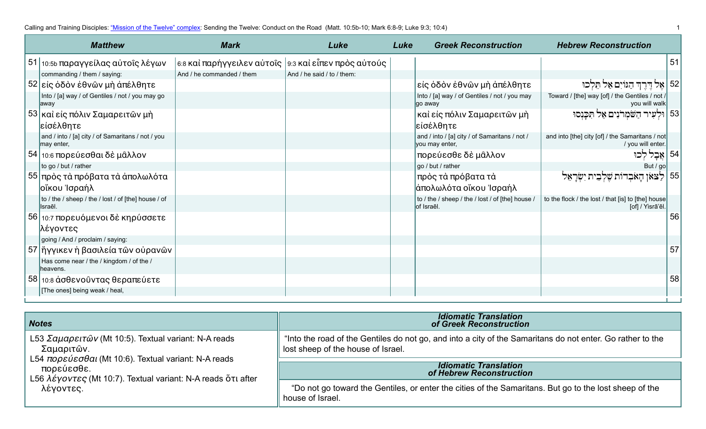| <b>Matthew</b>                                                  | <b>Mark</b>                                            | Luke                       | Luke | <b>Greek Reconstruction</b>                                     | <b>Hebrew Reconstruction</b>                                           |    |
|-----------------------------------------------------------------|--------------------------------------------------------|----------------------------|------|-----------------------------------------------------------------|------------------------------------------------------------------------|----|
| 51 10:55 παραγγείλας αύτοῖς λέγων                               | 6:8 και παρήγγειλεν αύτοις   9:3 και είπεν προς αύτούς |                            |      |                                                                 |                                                                        | 51 |
| commanding / them / saying:                                     | And / he commanded / them                              | And / he said / to / them: |      |                                                                 |                                                                        |    |
| 52 είς όδον έθνῶν μὴ ἀπέλθητε                                   |                                                        |                            |      | είς όδον έθνῶν μὴ ἀπέλθητε                                      | 52   אֶל דֶּרֶךְ הַגּוֹיִם אַל תֵּלְכוּ                                |    |
| Into / [a] way / of Gentiles / not / you may go<br>away         |                                                        |                            |      | Into / [a] way / of Gentiles / not / you may<br>go away         | Toward / [the] way [of] / the Gentiles / not /<br>you will walk        |    |
| 53 και είς πόλιν Σαμαρειτών μη<br>είσέλθητε                     |                                                        |                            |      | καὶ εἰς πόλιν Σαμαρειτῶν μὴ<br> εἰσέλθητε                       | 53   וּלִעִיר הַשֹּׂמְרֹנִים אַל תִּכֲנְסוּ                            |    |
| and / into / [a] city / of Samaritans / not / you<br>may enter, |                                                        |                            |      | and / into / [a] city / of Samaritans / not /<br>you may enter, | and into [the] city [of] / the Samaritans / not<br>/ you will enter.   |    |
| 54 10:6 πορεύεσθαι δὲ μᾶλλον                                    |                                                        |                            |      | πορεύεσθε δὲ μᾶλλον                                             | 54   אֱבָל                                                             |    |
| to go / but / rather                                            |                                                        |                            |      | go / but / rather                                               | But / go                                                               |    |
| 55 πρὸς τὰ πρόβατα τὰ ἀπολωλότα                                 |                                                        |                            |      | πρὸς τὰ πρόβατα τὰ                                              | 55   לַצֹּאוָ הָאֹבְדוֹת שֵׁלְבֵית יִשְׂרָאֵל                          |    |
| οἴκου Ἰσραήλ                                                    |                                                        |                            |      | ἀπολωλότα οἴκου Ἰσραήλ                                          |                                                                        |    |
| to / the / sheep / the / lost / of [the] house / of<br>Israēl.  |                                                        |                            |      | to / the / sheep / the / lost / of [the] house /<br>lof Israēl. | to the flock / the lost / that [is] to [the] house<br>[of] / Yisrā'ēl. |    |
| 56 10:7 πορευόμενοι δέ κηρύσσετε                                |                                                        |                            |      |                                                                 |                                                                        | 56 |
| λέγοντες                                                        |                                                        |                            |      |                                                                 |                                                                        |    |
| going / And / proclaim / saying:                                |                                                        |                            |      |                                                                 |                                                                        |    |
| 57 ήγγικεν ή βασιλεία τῶν οὐρανῶν                               |                                                        |                            |      |                                                                 |                                                                        | 57 |
| Has come near / the / kingdom / of the /<br>heavens.            |                                                        |                            |      |                                                                 |                                                                        |    |
| 58 10:8 άσθενοῦντας θεραπεύετε                                  |                                                        |                            |      |                                                                 |                                                                        | 58 |
| [The ones] being weak / heal,                                   |                                                        |                            |      |                                                                 |                                                                        |    |

| <b>Notes</b>                                                                                                                       | <b>Idiomatic Translation</b><br>of Greek Reconstruction                                                                                          |  |  |
|------------------------------------------------------------------------------------------------------------------------------------|--------------------------------------------------------------------------------------------------------------------------------------------------|--|--|
| L53 Σαμαρειτῶν (Mt 10:5). Textual variant: N-A reads<br>Σαμαριτών.                                                                 | "Into the road of the Gentiles do not go, and into a city of the Samaritans do not enter. Go rather to the<br>lost sheep of the house of Israel. |  |  |
| L54 πορεύεσθαι (Mt 10:6). Textual variant: N-A reads<br>πορεύεσθε.<br>L56 λέγοντες (Mt 10:7). Textual variant: N-A reads ὅτι after | <b>Idiomatic Translation</b><br>of Hebrew Reconstruction                                                                                         |  |  |
| λέγοντες.                                                                                                                          | "Do not go toward the Gentiles, or enter the cities of the Samaritans. But go to the lost sheep of the<br>house of Israel.                       |  |  |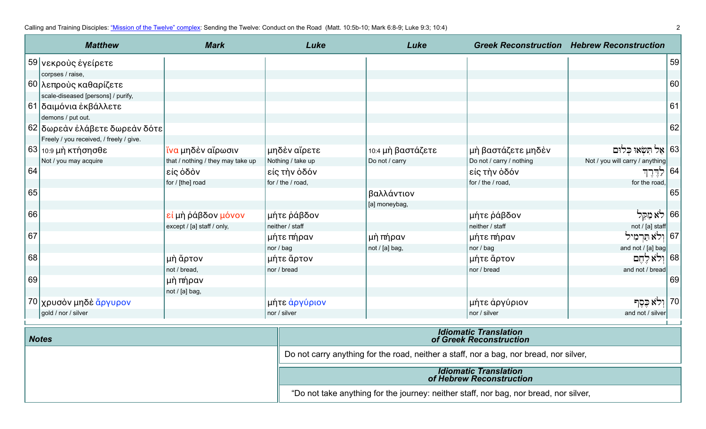Calling and Training Disciples: ["Mission of the Twelve" complex:](https://www.jerusalemperspective.com/14113/) Sending the Twelve: Conduct on the Road (Matt. 10:5b-10; Mark 6:8-9; Luke 9:3; 10:4) 2

|    | <b>Matthew</b>                          | <b>Mark</b>                       | Luke              | Luke              |                          | <b>Greek Reconstruction Hebrew Reconstruction</b> |    |
|----|-----------------------------------------|-----------------------------------|-------------------|-------------------|--------------------------|---------------------------------------------------|----|
|    | 59 νεκρούς έγείρετε                     |                                   |                   |                   |                          |                                                   | 59 |
|    | corpses / raise,                        |                                   |                   |                   |                          |                                                   |    |
|    | 60 λεπροὺς καθαρίζετε                   |                                   |                   |                   |                          |                                                   | 60 |
|    | scale-diseased [persons] / purify,      |                                   |                   |                   |                          |                                                   |    |
|    | 61   δαιμόνια ἐκβάλλετε                 |                                   |                   |                   |                          |                                                   | 61 |
|    | demons / put out.                       |                                   |                   |                   |                          |                                                   |    |
|    | 62 δωρεάν έλάβετε δωρεάν δότε           |                                   |                   |                   |                          |                                                   | 62 |
|    | Freely / you received, / freely / give. |                                   |                   |                   |                          |                                                   |    |
|    | 63   10:9 μὴ κτήσησθε                   | ίνα μηδὲν αἴρωσιν                 | μηδὲν αἴρετε      | 10:4 μη βαστάζετε | μή βαστάζετε μηδέν       | 63   אַל תְּשָׂאוּ כִּלוּם                        |    |
|    | Not / you may acquire                   | that / nothing / they may take up | Nothing / take up | Do not / carry    | Do not / carry / nothing | Not / you will carry / anything                   |    |
| 64 |                                         | είς όδὸν                          | είς τὴν ὁδόν      |                   | είς τὴν ὁδόν             | ا 64   ح آخان لند                                 |    |
|    |                                         | for / [the] road                  | for / the / road, |                   | for / the / road,        | for the road,                                     |    |
| 65 |                                         |                                   |                   | βαλλάντιον        |                          |                                                   | 65 |
|    |                                         |                                   |                   | [a] moneybag,     |                          |                                                   |    |
| 66 |                                         | εί μὴ ῥάβδον μόνον                | μήτε ράβδον       |                   | μήτε ράβδον              | 66   לֹא מַקֵּל                                   |    |
|    |                                         | except / [a] staff / only,        | neither / staff   |                   | neither / staff          | $not / [a]$ staff                                 |    |
| 67 |                                         |                                   | μήτε πήραν        | μὴ πήραν          | μήτε πήραν               | 67  וְלֹא תַּרְמִיל                               |    |
|    |                                         |                                   | nor / bag         | not / [a] bag,    | nor / bag                | and not / [a] bag                                 |    |
| 68 |                                         | μὴ ἄρτον                          | μήτε ἄρτον        |                   | μήτε ἄρτον               | 68   וְלֹא לֵחֶם                                  |    |
|    |                                         | not / bread,                      | nor / bread       |                   | nor / bread              | and not / bread                                   |    |
| 69 |                                         | μὴ πήραν                          |                   |                   |                          |                                                   | 69 |
|    |                                         | not / [a] bag,                    |                   |                   |                          |                                                   |    |
|    | 70 χρυσὸν μηδὲ ἄργυρον                  |                                   | μήτε ἀργύριον     |                   | μήτε άργύριον            | ּן 70  וָלֹא כֶּסֶך                               |    |
|    | gold / nor / silver                     |                                   | nor / silver      |                   | nor / silver             | and not / silver                                  |    |
|    | <b>Idiomatic Translation</b>            |                                   |                   |                   |                          |                                                   |    |

| <b>Notes</b> | <b>Idiomatic Translation</b><br>of Greek Reconstruction                                |
|--------------|----------------------------------------------------------------------------------------|
|              | Do not carry anything for the road, neither a staff, nor a bag, nor bread, nor silver, |
|              | <b>Idiomatic Translation</b><br>of Hebrew Reconstruction                               |
|              | "Do not take anything for the journey: neither staff, nor bag, nor bread, nor silver,  |